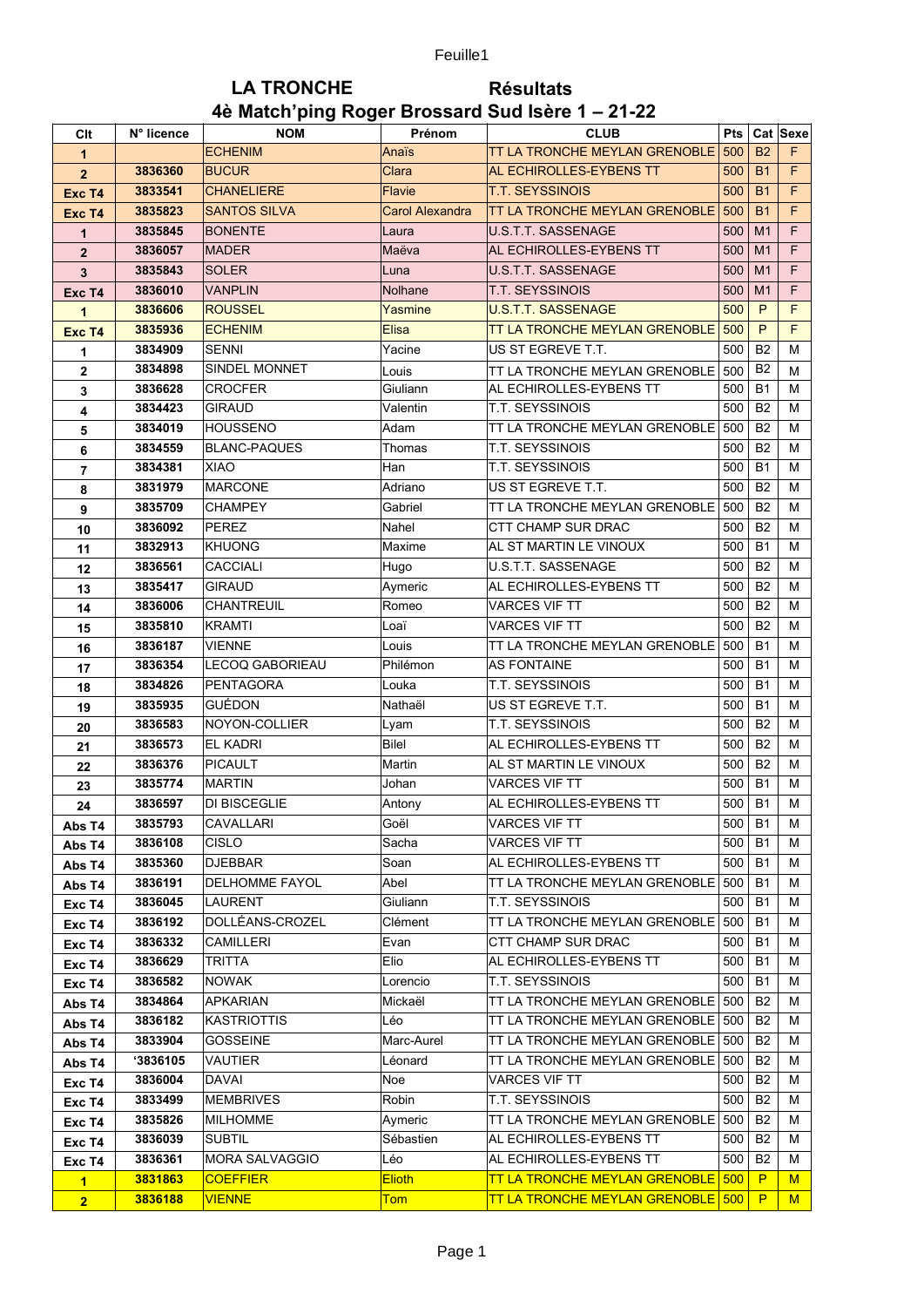## **LA TRONCHE Résultats** 4è Match'ping Roger Brossard Sud Isère 1 - 21-22

| Clt            | N° licence | <b>NOM</b>             | Prénom                 | <b>CLUB</b>                          | <b>Pts</b> |                | Cat Sexe |
|----------------|------------|------------------------|------------------------|--------------------------------------|------------|----------------|----------|
| 1              |            | <b>ECHENIM</b>         | Anaïs                  | TT LA TRONCHE MEYLAN GRENOBLE        | 500        | <b>B2</b>      | F.       |
| $\overline{2}$ | 3836360    | <b>BUCUR</b>           | Clara                  | AL ECHIROLLES-EYBENS TT              | 500        | <b>B1</b>      | F        |
| Exc T4         | 3833541    | <b>CHANELIERE</b>      | Flavie                 | <b>T.T. SEYSSINOIS</b>               | 500        | <b>B1</b>      | F.       |
| Exc T4         | 3835823    | <b>SANTOS SILVA</b>    | <b>Carol Alexandra</b> | TT LA TRONCHE MEYLAN GRENOBLE        | 500        | <b>B1</b>      | F        |
| $\mathbf{1}$   | 3835845    | <b>BONENTE</b>         | Laura                  | <b>U.S.T.T. SASSENAGE</b>            | 500        | M <sub>1</sub> | F        |
| $\overline{2}$ | 3836057    | <b>MADER</b>           | Maëva                  | AL ECHIROLLES-EYBENS TT              | 500        | M <sub>1</sub> | F        |
| 3              | 3835843    | <b>SOLER</b>           | Luna                   | U.S.T.T. SASSENAGE                   | 500        | M <sub>1</sub> | F        |
| Exc T4         | 3836010    | <b>VANPLIN</b>         | <b>Nolhane</b>         | <b>T.T. SEYSSINOIS</b>               | 500        | M <sub>1</sub> | F        |
| 1              | 3836606    | <b>ROUSSEL</b>         | Yasmine                | <b>U.S.T.T. SASSENAGE</b>            | 500        | P              | F        |
| Exc T4         | 3835936    | <b>ECHENIM</b>         | Elisa                  | TT LA TRONCHE MEYLAN GRENOBLE        | 500        | P              | F        |
| 1              | 3834909    | <b>SENNI</b>           | Yacine                 | US ST EGREVE T.T.                    | 500        | B <sub>2</sub> | М        |
| $\overline{2}$ | 3834898    | SINDEL MONNET          | Louis                  | TT LA TRONCHE MEYLAN GRENOBLE        | 500        | B <sub>2</sub> | м        |
| 3              | 3836628    | <b>CROCFER</b>         | Giuliann               | AL ECHIROLLES-EYBENS TT              | 500        | <b>B1</b>      | М        |
| 4              | 3834423    | <b>GIRAUD</b>          | Valentin               | T.T. SEYSSINOIS                      | 500        | B <sub>2</sub> | м        |
| 5              | 3834019    | HOUSSENO               | Adam                   | TT LA TRONCHE MEYLAN GRENOBLE        | 500        | B <sub>2</sub> | м        |
| 6              | 3834559    | <b>BLANC-PAQUES</b>    | Thomas                 | T.T. SEYSSINOIS                      | 500        | <b>B2</b>      | м        |
| 7              | 3834381    | <b>XIAO</b>            | Han                    | T.T. SEYSSINOIS                      | 500        | <b>B1</b>      | м        |
| 8              | 3831979    | MARCONE                | Adriano                | US ST EGREVE T.T.                    | 500        | B <sub>2</sub> | м        |
| 9              | 3835709    | CHAMPEY                | Gabriel                | TT LA TRONCHE MEYLAN GRENOBLE        | 500        | B <sub>2</sub> | м        |
| 10             | 3836092    | PEREZ                  | Nahel                  | <b>CTT CHAMP SUR DRAC</b>            | 500        | <b>B2</b>      | м        |
| 11             | 3832913    | <b>KHUONG</b>          | Maxime                 | AL ST MARTIN LE VINOUX               | 500        | <b>B1</b>      | м        |
| 12             | 3836561    | CACCIALI               | Hugo                   | U.S.T.T. SASSENAGE                   | 500        | B <sub>2</sub> | м        |
| 13             | 3835417    | <b>GIRAUD</b>          | Aymeric                | AL ECHIROLLES-EYBENS TT              | 500        | B <sub>2</sub> | м        |
| 14             | 3836006    | <b>CHANTREUIL</b>      | Romeo                  | <b>VARCES VIF TT</b>                 | 500        | B <sub>2</sub> | м        |
| 15             | 3835810    | KRAMTI                 | Loaï                   | <b>VARCES VIF TT</b>                 | 500        | B <sub>2</sub> | м        |
| 16             | 3836187    | <b>VIENNE</b>          | Louis                  | TT LA TRONCHE MEYLAN GRENOBLE        | 500        | <b>B1</b>      | м        |
| 17             | 3836354    | <b>LECOQ GABORIEAU</b> | Philémon               | <b>AS FONTAINE</b>                   | 500        | <b>B1</b>      | м        |
| 18             | 3834826    | <b>PENTAGORA</b>       | Louka                  | <b>T.T. SEYSSINOIS</b>               | 500        | <b>B1</b>      | м        |
| 19             | 3835935    | GUÉDON                 | Nathaël                | US ST EGREVE T.T.                    | 500        | <b>B1</b>      | м        |
| 20             | 3836583    | NOYON-COLLIER          | Lyam                   | T.T. SEYSSINOIS                      | 500        | B <sub>2</sub> | м        |
| 21             | 3836573    | <b>EL KADRI</b>        | <b>Bilel</b>           | AL ECHIROLLES-EYBENS TT              | 500        | B <sub>2</sub> | М        |
| 22             | 3836376    | PICAULT                | Martin                 | AL ST MARTIN LE VINOUX               | 500        | B <sub>2</sub> | м        |
| 23             | 3835774    | MARTIN                 | Johan                  | <b>VARCES VIF TT</b>                 | 500        | <b>B1</b>      | м        |
| 24             | 3836597    | DI BISCEGLIE           | Antony                 | AL ECHIROLLES-EYBENS TT              | 500        | <b>B1</b>      | м        |
| Abs T4         | 3835793    | CAVALLARI              | Goël                   | <b>VARCES VIF TT</b>                 | 500        | B <sub>1</sub> | M        |
| Abs T4         | 3836108    | CISLO                  | Sacha                  | VARCES VIF TT                        | 500        | <b>B1</b>      | м        |
| Abs T4         | 3835360    | <b>DJEBBAR</b>         | Soan                   | AL ECHIROLLES-EYBENS TT              | 500        | <b>B1</b>      | м        |
| Abs T4         | 3836191    | <b>DELHOMME FAYOL</b>  | Abel                   | TT LA TRONCHE MEYLAN GRENOBLE        | 500        | <b>B1</b>      | м        |
| Exc T4         | 3836045    | LAURENT                | Giuliann               | <b>T.T. SEYSSINOIS</b>               | 500        | <b>B1</b>      | м        |
| Exc T4         | 3836192    | DOLLÉANS-CROZEL        | Clément                | TT LA TRONCHE MEYLAN GRENOBLE        | 500        | <b>B1</b>      | м        |
| Exc T4         | 3836332    | <b>CAMILLERI</b>       | Evan                   | <b>CTT CHAMP SUR DRAC</b>            | 500        | B <sub>1</sub> | м        |
| Exc T4         | 3836629    | TRITTA                 | Elio                   | AL ECHIROLLES-EYBENS TT              | 500        | <b>B1</b>      | М        |
| Exc T4         | 3836582    | NOWAK                  | Lorencio               | T.T. SEYSSINOIS                      | 500        | <b>B1</b>      | м        |
| Abs T4         | 3834864    | APKARIAN               | Mickaël                | TT LA TRONCHE MEYLAN GRENOBLE 500    |            | B2             | м        |
| Abs T4         | 3836182    | <b>KASTRIOTTIS</b>     | Léo                    | TT LA TRONCHE MEYLAN GRENOBLE 500    |            | <b>B2</b>      | м        |
| Abs T4         | 3833904    | <b>GOSSEINE</b>        | Marc-Aurel             | TT LA TRONCHE MEYLAN GRENOBLE 500    |            | B <sub>2</sub> | м        |
| Abs T4         | '3836105   | VAUTIER                | Léonard                | TT LA TRONCHE MEYLAN GRENOBLE        | 500        | B <sub>2</sub> | м        |
| Exc T4         | 3836004    | DAVAI                  | Noe                    | <b>VARCES VIF TT</b>                 | 500        | B <sub>2</sub> | м        |
| Exc T4         | 3833499    | MEMBRIVES              | Robin                  | T.T. SEYSSINOIS                      | 500        | <b>B2</b>      | м        |
| Exc T4         | 3835826    | MILHOMME               | Aymeric                | TT LA TRONCHE MEYLAN GRENOBLE        | 500        | B <sub>2</sub> | м        |
| Exc T4         | 3836039    | <b>SUBTIL</b>          | Sébastien              | AL ECHIROLLES-EYBENS TT              | 500        | B <sub>2</sub> | м        |
| Exc T4         | 3836361    | MORA SALVAGGIO         | Léo                    | AL ECHIROLLES-EYBENS TT              | 500        | B2             | м        |
| $\blacksquare$ | 3831863    | <b>COEFFIER</b>        | <b>Elioth</b>          | <b>TT LA TRONCHE MEYLAN GRENOBLE</b> | 500        | P              | M        |
| 2 <sup>1</sup> | 3836188    | <b>VIENNE</b>          | <b>Tom</b>             | <b>TT LA TRONCHE MEYLAN GRENOBLE</b> | 500        | P              | M        |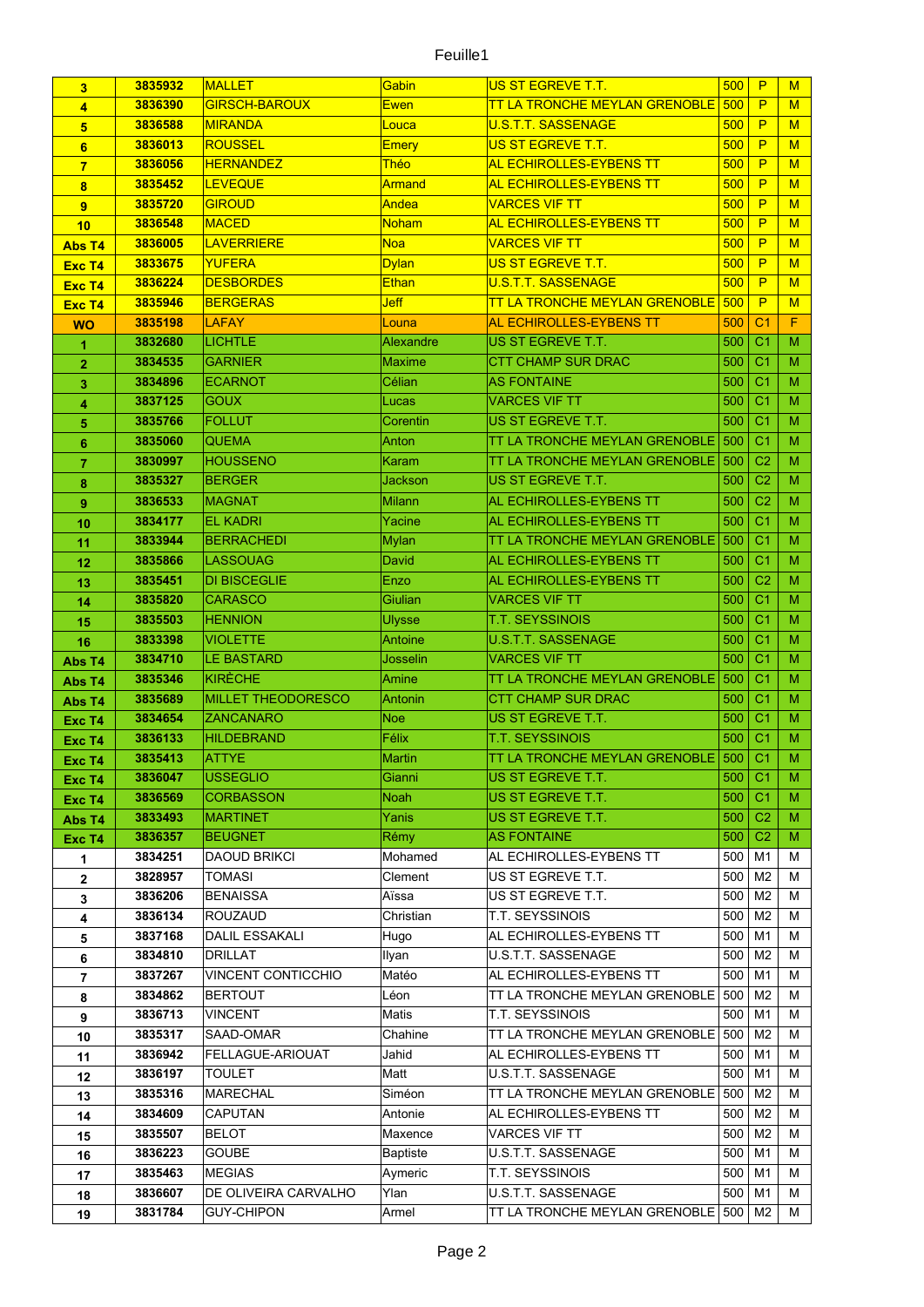## Feuille1

| 3              | 3835932            | <b>MALLET</b>             | Gabin               | US ST EGREVE T.T.                      | 500         | P                                | M           |
|----------------|--------------------|---------------------------|---------------------|----------------------------------------|-------------|----------------------------------|-------------|
| 4              | 3836390            | <b>GIRSCH-BAROUX</b>      | <b>Ewen</b>         | <b>TT LA TRONCHE MEYLAN GRENOBLE</b>   | 500         | P                                | M           |
| 5              | 3836588            | <b>MIRANDA</b>            | Louca               | <b>U.S.T.T. SASSENAGE</b>              | 500         | P                                | M           |
| 6              | 3836013            | <b>ROUSSEL</b>            | <b>Emery</b>        | US ST EGREVE T.T.                      | 500         | P                                | M           |
| $\overline{7}$ | 3836056            | <b>HERNANDEZ</b>          | <b>Théo</b>         | <b>AL ECHIROLLES-EYBENS TT</b>         | 500         | P                                | M           |
| 8              | 3835452            | <b>LEVEQUE</b>            | <b>Armand</b>       | AL ECHIROLLES-EYBENS TT                | 500         | P                                | M           |
| 9              | 3835720            | <b>GIROUD</b>             | Andea               | <u>VARCES VIF TT</u>                   | 500         | P                                | M           |
| 10             | 3836548            | <b>MACED</b>              | Noham               | <b>AL ECHIROLLES-EYBENS TT</b>         | 500         | P                                | M           |
| Abs T4         | 3836005            | <b>LAVERRIERE</b>         | <b>Noa</b>          | <b>VARCES VIF TT</b>                   | 500         | P                                | M           |
| Exc T4         | 3833675            | <b>YUFERA</b>             | <b>Dylan</b>        | US ST EGREVE T.T.                      | 500         | P                                | M           |
| Exc T4         | 3836224            | <b>DESBORDES</b>          | <b>Ethan</b>        | U.S.T.T. SASSENAGE                     | 500         | P                                | M           |
| Exc T4         | 3835946            | <b>BERGERAS</b>           | Jeff                | <b>TT LA TRONCHE MEYLAN GRENOBLE</b>   | 500         | P                                | M           |
| <b>WO</b>      | 3835198            | <b>LAFAY</b>              | Louna               | AL ECHIROLLES-EYBENS TT                | 500         | C <sub>1</sub>                   | $\mathsf F$ |
| 1              | 3832680            | LICHTLE                   | Alexandre           | US ST EGREVE T.T.                      | 500         | C <sub>1</sub>                   | M           |
| 2              | 3834535            | <b>GARNIER</b>            | <b>Maxime</b>       | CTT CHAMP SUR DRAC                     | 500         | C <sub>1</sub>                   | M           |
| 3              | 3834896            | <b>ECARNOT</b>            | Célian              | <b>AS FONTAINE</b>                     | 500         | C <sub>1</sub>                   | M           |
| 4              | 3837125            | <b>GOUX</b>               | Lucas               | <b>VARCES VIF TT</b>                   | 500         | C <sub>1</sub>                   | M           |
| 5              | 3835766            | <b>FOLLUT</b>             | Corentin            | US ST EGREVE T.T.                      | 500         | C <sub>1</sub>                   | м           |
| 6              | 3835060            | <b>QUEMA</b>              | Anton               | TT LA TRONCHE MEYLAN GRENOBLE          | 500         | C <sub>1</sub>                   | M           |
| 7              | 3830997            | <b>HOUSSENO</b>           | <b>Karam</b>        | TT LA TRONCHE MEYLAN GRENOBLE          | 500         | C <sub>2</sub>                   | M           |
| 8              | 3835327            | <b>BERGER</b>             | Jackson             | US ST EGREVE T.T.                      | 500         | C <sub>2</sub>                   | M           |
| 9              | 3836533            | <b>MAGNAT</b>             | Milann              | AL ECHIROLLES-EYBENS TT                | 500         | C <sub>2</sub>                   | M           |
| 10             | 3834177            | <b>EL KADRI</b>           | Yacine              | AL ECHIROLLES-EYBENS TT                | 500         | C <sub>1</sub>                   | M           |
| 11             | 3833944            | <b>BERRACHEDI</b>         | Mylan               | TT LA TRONCHE MEYLAN GRENOBLE          | 500         | C <sub>1</sub>                   | M           |
| 12             | 3835866            | <b>LASSOUAG</b>           | David               | AL ECHIROLLES-EYBENS TT                | 500         | C <sub>1</sub>                   | м           |
| 13             | 3835451            | <b>DI BISCEGLIE</b>       | Enzo                | AL ECHIROLLES-EYBENS TT                | 500         | C <sub>2</sub>                   | м           |
| 14             | 3835820            | <b>CARASCO</b>            | Giulian             | <b>VARCES VIF TT</b>                   | 500         | C <sub>1</sub>                   | M           |
| 15             | 3835503            | <b>HENNION</b>            | Ulysse              | <b>T.T. SEYSSINOIS</b>                 | 500         | C <sub>1</sub>                   | M           |
| 16             | 3833398            | <b>VIOLETTE</b>           | Antoine             | U.S.T.T. SASSENAGE                     | 500         | C <sub>1</sub>                   | M           |
| Abs T4         | 3834710            | <b>LE BASTARD</b>         | Josselin            | <b>VARCES VIF TT</b>                   | 500         | C <sub>1</sub>                   | M           |
| Abs T4         | 3835346            | <b>KIRÈCHE</b>            | Amine               | TT LA TRONCHE MEYLAN GRENOBLE          | 500         | C <sub>1</sub>                   | M           |
| Abs T4         | 3835689            | <b>MILLET THEODORESCO</b> | Antonin             | CTT CHAMP SUR DRAC                     | 500         | C <sub>1</sub>                   | M           |
| Exc T4         | 3834654            | <b>ZANCANARO</b>          | <b>Noe</b>          | US ST EGREVE T.T.                      | 500         | C <sub>1</sub>                   | M           |
| Exc T4         | 3836133            | <b>HILDEBRAND</b>         | Félix               | <b>T.T. SEYSSINOIS</b>                 | 500         | C <sub>1</sub>                   | м           |
| Exc T4         | 3835413            | <b>ATTYE</b>              | Martin              | TT LA TRONCHE MEYLAN GRENOBLE 500      |             | C <sub>1</sub>                   | M           |
| Exc T4         | 3836047            | <b>USSEGLIO</b>           | Gianni              | US ST EGREVE T.T.                      | 500         | C <sub>1</sub>                   | M           |
| Exc T4         | 3836569            | <b>CORBASSON</b>          | Noah                | US ST EGREVE T.T.                      | 500         | C <sub>1</sub>                   | м           |
| Abs T4         | 3833493            | MARTINET                  | Yanis               | US ST EGREVE T.T.                      | 500         | C <sub>2</sub>                   | M           |
| Exc T4         | 3836357            | <b>BEUGNET</b>            | Rémy                | <b>AS FONTAINE</b>                     | 500         | C <sub>2</sub>                   | M           |
| 1              | 3834251            | <b>DAOUD BRIKCI</b>       | Mohamed             | AL ECHIROLLES-EYBENS TT                | 500         | M1                               | м           |
| $\mathbf{2}$   | 3828957            | <b>TOMASI</b>             | Clement             | US ST EGREVE T.T.                      | 500         | M <sub>2</sub>                   | м           |
| 3              | 3836206            | <b>BENAISSA</b>           | Aïssa               | US ST EGREVE T.T.                      | 500         | M2                               | м           |
| 4              | 3836134            | <b>ROUZAUD</b>            | Christian           | <b>T.T. SEYSSINOIS</b>                 | 500         | M <sub>2</sub>                   | м           |
| 5              | 3837168            | <b>DALIL ESSAKALI</b>     | Hugo                | AL ECHIROLLES-EYBENS TT                | 500         | M1                               | м           |
| 6              | 3834810            | DRILLAT                   | <b>Ilyan</b>        | U.S.T.T. SASSENAGE                     | 500         | M2                               | м           |
| $\overline{7}$ | 3837267            | <b>VINCENT CONTICCHIO</b> | Matéo               | AL ECHIROLLES-EYBENS TT                | 500         | M1                               | м           |
| 8              | 3834862            | <b>BERTOUT</b>            | Léon                | TT LA TRONCHE MEYLAN GRENOBLE          | 500         | M2                               | м           |
| 9              | 3836713            | <b>VINCENT</b>            | Matis               | T.T. SEYSSINOIS                        | 500         | M1                               | м           |
| 10             | 3835317            | SAAD-OMAR                 | Chahine             | TT LA TRONCHE MEYLAN GRENOBLE 500      |             | M2                               | м           |
| 11             | 3836942            | FELLAGUE-ARIOUAT          | Jahid               | AL ECHIROLLES-EYBENS TT                | 500         | M1                               | м           |
| 12             | 3836197            | <b>TOULET</b>             | Matt                | U.S.T.T. SASSENAGE                     | 500         | M1                               | м           |
| 13             | 3835316            | MARECHAL                  | Siméon              | TT LA TRONCHE MEYLAN GRENOBLE          | 500         | M <sub>2</sub>                   | м           |
| 14             | 3834609            | <b>CAPUTAN</b>            | Antonie             | AL ECHIROLLES-EYBENS TT                | 500         | M <sub>2</sub><br>M <sub>2</sub> | м           |
| 15             | 3835507<br>3836223 | BELOT<br><b>GOUBE</b>     | Maxence             | VARCES VIF TT<br>U.S.T.T. SASSENAGE    | 500 <br>500 | M1                               | м           |
| 16             | 3835463            | <b>MEGIAS</b>             | Baptiste<br>Aymeric | T.T. SEYSSINOIS                        | 500         | M <sub>1</sub>                   | м<br>м      |
| 17             | 3836607            | DE OLIVEIRA CARVALHO      | Ylan                | U.S.T.T. SASSENAGE                     | 500         | M1                               | М           |
| 18             | 3831784            | <b>GUY-CHIPON</b>         | Armel               | TT LA TRONCHE MEYLAN GRENOBLE 500   M2 |             |                                  | М           |
| 19             |                    |                           |                     |                                        |             |                                  |             |